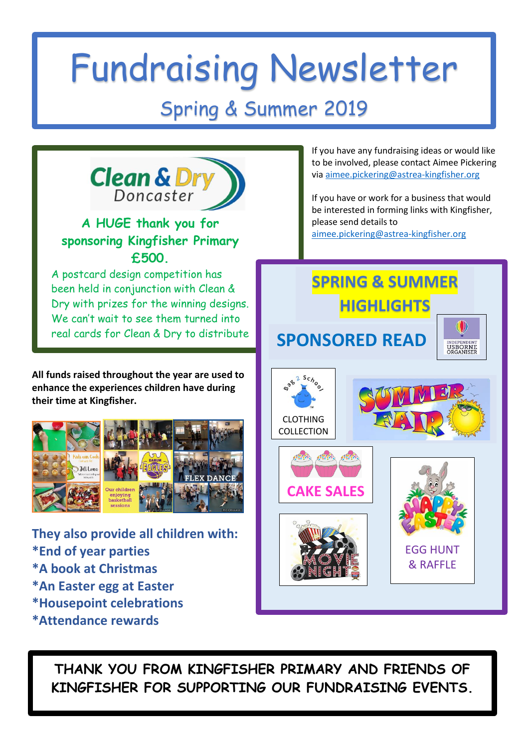## Fundraising Newsletter

## Spring & Summer 2019



**THANK YOU FROM KINGFISHER PRIMARY AND FRIENDS OF KINGFISHER FOR SUPPORTING OUR FUNDRAISING EVENTS.**